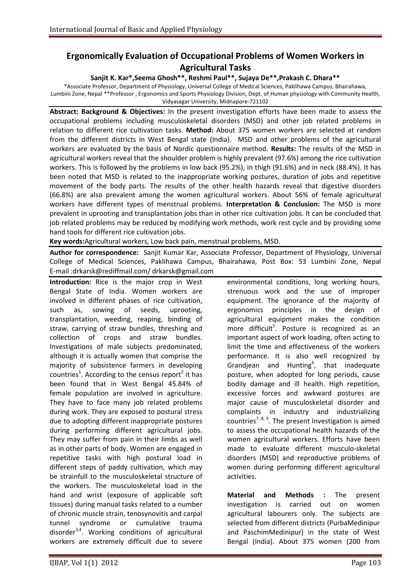## **Ergonomically Evaluation of Occupational Problems of Women Workers in Agricultural Tasks**

## **Sanjit K. Kar\*,Seema Ghosh\*\*, Reshmi Paul\*\*, Sujaya De\*\*,Prakash C. Dhara\*\***

\*Associate Professor, Department of Physiology, Universal College of Medical Sciences, Paklihawa Campus, Bhairahawa, Lumbini Zone, Nepal \*\*Professor , Ergonomics and Sports Physiology Division, Dept. of Human physiology with Community Health, Vidyasagar University, Midnapore-721102

**Abstract: Background & Objectives:** In the present investigation efforts have been made to assess the occupational problems including musculoskeletal disorders (MSD) and other job related problems in relation to different rice cultivation tasks. **Method:** About 375 women workers are selected at random from the different districts in West Bengal state (India). MSD and other problems of the agricultural workers are evaluated by the basis of Nordic questionnaire method. **Results:** The results of the MSD in agricultural workers reveal that the shoulder problem is highly prevalent (97.6%) among the rice cultivation workers. This is followed by the problems in low back (95.2%), in thigh (91.6%) and in neck (88.4%). It has been noted that MSD is related to the inappropriate working postures, duration of jobs and repetitive movement of the body parts. The results of the other health hazards reveal that digestive disorders (66.8%) are also prevalent among the women agricultural workers. About 56% of female agricultural workers have different types of menstrual problems. **Interpretation & Conclusion:** The MSD is more prevalent in uprooting and transplantation jobs than in other rice cultivation jobs. It can be concluded that job related problems may be reduced by modifying work methods, work rest cycle and by providing some hand tools for different rice cultivation jobs.

**Key words:**Agricultural workers, Low back pain, menstrual problems, MSD.

**Author for correspondence:** Sanjit Kumar Kar, Associate Professor, Department of Physiology, Universal College of Medical Sciences, Paklihawa Campus, Bhairahawa, Post Box: 53 Lumbini Zone, Nepal E-mail [:drkarsk@rediffmail.com/](mailto:drkarsk@rediffmail.com) [drkarsk@gmail.com](mailto:drkarsk@gmail.com)

**Introduction:** Rice is the major crop in West Bengal State of India. Women workers are involved in different phases of rice cultivation, such as, sowing of seeds, uprooting, transplantation, weeding, reaping, binding of straw, carrying of straw bundles, threshing and collection of crops and straw bundles. Investigations of male subjects predominated, although it is actually women that comprise the majority of subsistence farmers in developing countries<sup>1</sup>. According to the census report<sup>2</sup> it has been found that in West Bengal 45.84% of female population are involved in agriculture. They have to face many job related problems during work. They are exposed to postural stress due to adopting different inappropriate postures during performing different agricultural jobs. They may suffer from pain in their limbs as well as in other parts of body. Women are engaged in repetitive tasks with high postural load in different steps of paddy cultivation, which may be strainfull to the musculoskeletal structure of the workers. The musculoskeletal load in the hand and wrist (exposure of applicable soft tissues) during manual tasks related to a number of chronic muscle strain, tenosynovitis and carpal tunnel syndrome or cumulative trauma disorder<sup>3,4</sup>. Working conditions of agricultural workers are extremely difficult due to severe

environmental conditions, long working hours, strenuous work and the use of improper equipment. The ignorance of the majority of ergonomics principles in the design of agricultural equipment makes the condition more difficult<sup>5</sup>. Posture is recognized as an important aspect of work loading, often acting to limit the time and effectiveness of the workers performance. It is also well recognized by Grandjean and Hunting<sup>6</sup>, that inadequate posture, when adopted for long periods, cause bodily damage and ill health. High repetition, excessive forces and awkward postures are major cause of musculoskeletal disorder and complaints in industry and industrializing countries<sup>7, 8, 9</sup>. The present Investigation is aimed to assess the occupational health hazards of the women agricultural workers. Efforts have been made to evaluate different musculo-skeletal disorders (MSD) and reproductive problems of women during performing different agricultural activities.

**Material and Methods :** The present investigation is carried out on women agricultural labourers only. The subjects are selected from different districts (PurbaMedinipur and PaschimMedinipur) in the state of West Bengal (India). About 375 women (200 from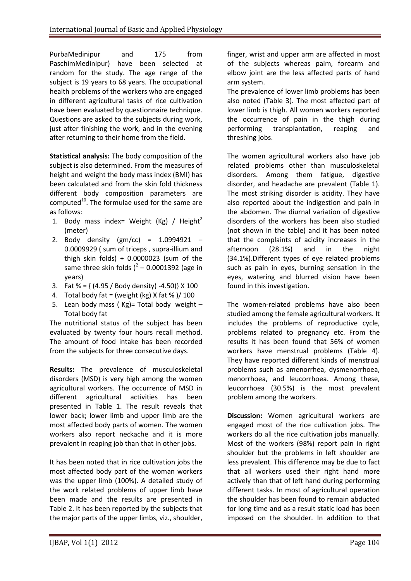PurbaMedinipur and 175 from PaschimMedinipur) have been selected at random for the study. The age range of the subject is 19 years to 68 years. The occupational health problems of the workers who are engaged in different agricultural tasks of rice cultivation have been evaluated by questionnaire technique. Questions are asked to the subjects during work, just after finishing the work, and in the evening after returning to their home from the field.

**Statistical analysis:** The body composition of the subject is also determined. From the measures of height and weight the body mass index (BMI) has been calculated and from the skin fold thickness different body composition parameters are computed $^{10}$ . The formulae used for the same are as follows:

- 1. Body mass index= Weight (Kg) / Height<sup>2</sup> (meter)
- 2. Body density (gm/cc) = 1.0994921 0.0009929 ( sum of triceps , supra-illium and thigh skin folds) +  $0.0000023$  (sum of the same three skin folds  $)^2$  – 0.0001392 (age in years)
- 3. Fat  $% = \{(4.95 / Body density) -4.50\} \times 100$
- 4. Total body fat = (weight (kg)  $X$  fat % )/ 100
- 5. Lean body mass ( $Kg$ ) = Total body weight Total body fat

The nutritional status of the subject has been evaluated by twenty four hours recall method. The amount of food intake has been recorded from the subjects for three consecutive days.

**Results:** The prevalence of musculoskeletal disorders (MSD) is very high among the women agricultural workers. The occurrence of MSD in different agricultural activities has been presented in Table 1. The result reveals that lower back; lower limb and upper limb are the most affected body parts of women. The women workers also report neckache and it is more prevalent in reaping job than that in other jobs.

It has been noted that in rice cultivation jobs the most affected body part of the woman workers was the upper limb (100%). A detailed study of the work related problems of upper limb have been made and the results are presented in Table 2. It has been reported by the subjects that the major parts of the upper limbs, viz., shoulder,

finger, wrist and upper arm are affected in most of the subjects whereas palm, forearm and elbow joint are the less affected parts of hand arm system.

The prevalence of lower limb problems has been also noted (Table 3). The most affected part of lower limb is thigh. All women workers reported the occurrence of pain in the thigh during performing transplantation, reaping and threshing jobs.

The women agricultural workers also have job related problems other than musculoskeletal disorders. Among them fatigue, digestive disorder, and headache are prevalent (Table 1). The most striking disorder is acidity. They have also reported about the indigestion and pain in the abdomen. The diurnal variation of digestive disorders of the workers has been also studied (not shown in the table) and it has been noted that the complaints of acidity increases in the afternoon (28.1%) and in the night (34.1%).Different types of eye related problems such as pain in eyes, burning sensation in the eyes, watering and blurred vision have been found in this investigation.

The women-related problems have also been studied among the female agricultural workers. It includes the problems of reproductive cycle, problems related to pregnancy etc. From the results it has been found that 56% of women workers have menstrual problems (Table 4). They have reported different kinds of menstrual problems such as amenorrhea, dysmenorrhoea, menorrhoea, and leucorrhoea. Among these, leucorrhoea (30.5%) is the most prevalent problem among the workers.

**Discussion:** Women agricultural workers are engaged most of the rice cultivation jobs. The workers do all the rice cultivation jobs manually. Most of the workers (98%) report pain in right shoulder but the problems in left shoulder are less prevalent. This difference may be due to fact that all workers used their right hand more actively than that of left hand during performing different tasks. In most of agricultural operation the shoulder has been found to remain abducted for long time and as a result static load has been imposed on the shoulder. In addition to that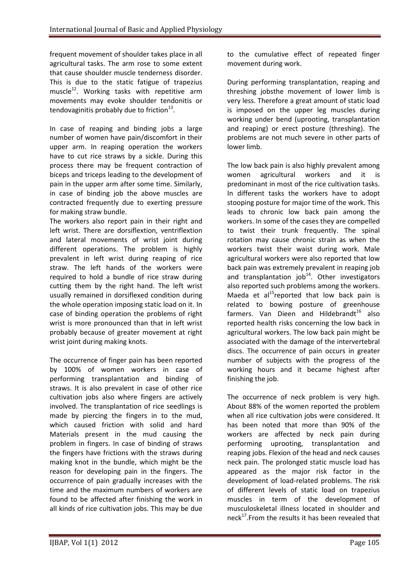frequent movement of shoulder takes place in all agricultural tasks. The arm rose to some extent that cause shoulder muscle tenderness disorder. This is due to the static fatigue of trapezius muscle<sup>12</sup>. Working tasks with repetitive arm movements may evoke shoulder tendonitis or tendovaginitis probably due to friction $^{13}$ .

In case of reaping and binding jobs a large number of women have pain/discomfort in their upper arm. In reaping operation the workers have to cut rice straws by a sickle. During this process there may be frequent contraction of biceps and triceps leading to the development of pain in the upper arm after some time. Similarly, in case of binding job the above muscles are contracted frequently due to exerting pressure for making straw bundle.

The workers also report pain in their right and left wrist. There are dorsiflextion, ventriflextion and lateral movements of wrist joint during different operations. The problem is highly prevalent in left wrist during reaping of rice straw. The left hands of the workers were required to hold a bundle of rice straw during cutting them by the right hand. The left wrist usually remained in dorsiflexed condition during the whole operation imposing static load on it. In case of binding operation the problems of right wrist is more pronounced than that in left wrist probably because of greater movement at right wrist joint during making knots.

The occurrence of finger pain has been reported by 100% of women workers in case of performing transplantation and binding of straws. It is also prevalent in case of other rice cultivation jobs also where fingers are actively involved. The transplantation of rice seedlings is made by piercing the fingers in to the mud, which caused friction with solid and hard Materials present in the mud causing the problem in fingers. In case of binding of straws the fingers have frictions with the straws during making knot in the bundle, which might be the reason for developing pain in the fingers. The occurrence of pain gradually increases with the time and the maximum numbers of workers are found to be affected after finishing the work in all kinds of rice cultivation jobs. This may be due

to the cumulative effect of repeated finger movement during work.

During performing transplantation, reaping and threshing jobsthe movement of lower limb is very less. Therefore a great amount of static load is imposed on the upper leg muscles during working under bend (uprooting, transplantation and reaping) or erect posture (threshing). The problems are not much severe in other parts of lower limb.

The low back pain is also highly prevalent among women agricultural workers and it is predominant in most of the rice cultivation tasks. In different tasks the workers have to adopt stooping posture for major time of the work. This leads to chronic low back pain among the workers. In some of the cases they are compelled to twist their trunk frequently. The spinal rotation may cause chronic strain as when the workers twist their waist during work. Male agricultural workers were also reported that low back pain was extremely prevalent in reaping job and transplantation  $job^{14}$ . Other investigators also reported such problems among the workers. Maeda et al $^{15}$ reported that low back pain is related to bowing posture of greenhouse farmers. Van Dieen and Hildebrand $t^{16}$  also reported health risks concerning the low back in agricultural workers. The low back pain might be associated with the damage of the intervertebral discs. The occurrence of pain occurs in greater number of subjects with the progress of the working hours and it became highest after finishing the job.

The occurrence of neck problem is very high. About 88% of the women reported the problem when all rice cultivation jobs were considered. It has been noted that more than 90% of the workers are affected by neck pain during performing uprooting, transplantation and reaping jobs. Flexion of the head and neck causes neck pain. The prolonged static muscle load has appeared as the major risk factor in the development of load-related problems. The risk of different levels of static load on trapezius muscles in term of the development of musculoskeletal illness located in shoulder and neck<sup>17</sup>. From the results it has been revealed that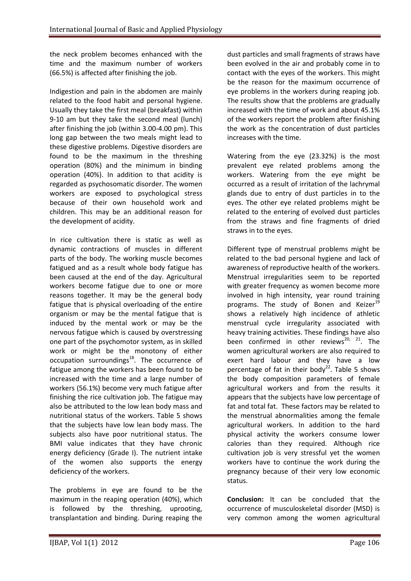the neck problem becomes enhanced with the time and the maximum number of workers (66.5%) is affected after finishing the job.

Indigestion and pain in the abdomen are mainly related to the food habit and personal hygiene. Usually they take the first meal (breakfast) within 9-10 am but they take the second meal (lunch) after finishing the job (within 3.00-4.00 pm). This long gap between the two meals might lead to these digestive problems. Digestive disorders are found to be the maximum in the threshing operation (80%) and the minimum in binding operation (40%). In addition to that acidity is regarded as psychosomatic disorder. The women workers are exposed to psychological stress because of their own household work and children. This may be an additional reason for the development of acidity.

In rice cultivation there is static as well as dynamic contractions of muscles in different parts of the body. The working muscle becomes fatigued and as a result whole body fatigue has been caused at the end of the day. Agricultural workers become fatigue due to one or more reasons together. It may be the general body fatigue that is physical overloading of the entire organism or may be the mental fatigue that is induced by the mental work or may be the nervous fatigue which is caused by overstressing one part of the psychomotor system, as in skilled work or might be the monotony of either occupation surroundings<sup>18</sup>. The occurrence of fatigue among the workers has been found to be increased with the time and a large number of workers (56.1%) become very much fatigue after finishing the rice cultivation job. The fatigue may also be attributed to the low lean body mass and nutritional status of the workers. Table 5 shows that the subjects have low lean body mass. The subjects also have poor nutritional status. The BMI value indicates that they have chronic energy deficiency (Grade I). The nutrient intake of the women also supports the energy deficiency of the workers.

The problems in eye are found to be the maximum in the reaping operation (40%), which is followed by the threshing, uprooting, transplantation and binding. During reaping the dust particles and small fragments of straws have been evolved in the air and probably come in to contact with the eyes of the workers. This might be the reason for the maximum occurrence of eye problems in the workers during reaping job. The results show that the problems are gradually increased with the time of work and about 45.1% of the workers report the problem after finishing the work as the concentration of dust particles increases with the time.

Watering from the eye (23.32%) is the most prevalent eye related problems among the workers. Watering from the eye might be occurred as a result of irritation of the lachrymal glands due to entry of dust particles in to the eyes. The other eye related problems might be related to the entering of evolved dust particles from the straws and fine fragments of dried straws in to the eyes.

Different type of menstrual problems might be related to the bad personal hygiene and lack of awareness of reproductive health of the workers. Menstrual irregularities seem to be reported with greater frequency as women become more involved in high intensity, year round training programs. The study of Bonen and Keizer $^{19}$ shows a relatively high incidence of athletic menstrual cycle irregularity associated with heavy training activities. These findings have also been confirmed in other reviews<sup>20, 21</sup>. The women agricultural workers are also required to exert hard labour and they have a low percentage of fat in their body<sup>22</sup>. Table 5 shows the body composition parameters of female agricultural workers and from the results it appears that the subjects have low percentage of fat and total fat. These factors may be related to the menstrual abnormalities among the female agricultural workers. In addition to the hard physical activity the workers consume lower calories than they required. Although rice cultivation job is very stressful yet the women workers have to continue the work during the pregnancy because of their very low economic status.

**Conclusion:** It can be concluded that the occurrence of musculoskeletal disorder (MSD) is very common among the women agricultural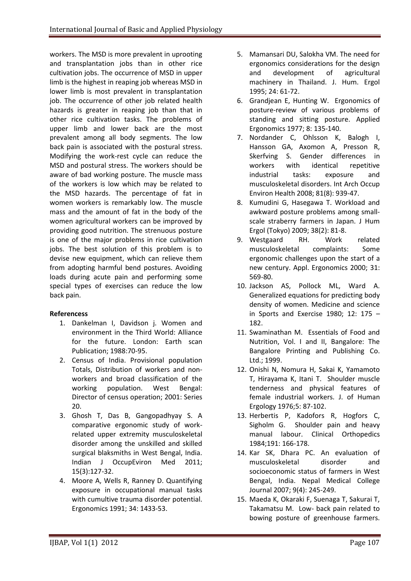workers. The MSD is more prevalent in uprooting and transplantation jobs than in other rice cultivation jobs. The occurrence of MSD in upper limb is the highest in reaping job whereas MSD in lower limb is most prevalent in transplantation job. The occurrence of other job related health hazards is greater in reaping job than that in other rice cultivation tasks. The problems of upper limb and lower back are the most prevalent among all body segments. The low back pain is associated with the postural stress. Modifying the work-rest cycle can reduce the MSD and postural stress. The workers should be aware of bad working posture. The muscle mass of the workers is low which may be related to the MSD hazards. The percentage of fat in women workers is remarkably low. The muscle mass and the amount of fat in the body of the women agricultural workers can be improved by providing good nutrition. The strenuous posture is one of the major problems in rice cultivation jobs. The best solution of this problem is to devise new equipment, which can relieve them from adopting harmful bend postures. Avoiding loads during acute pain and performing some special types of exercises can reduce the low back pain.

## **Referencess**

- 1. Dankelman I, Davidson j. Women and environment in the Third World: Alliance for the future. London: Earth scan Publication; 1988:70-95.
- 2. Census of India. Provisional population Totals, Distribution of workers and nonworkers and broad classification of the working population. West Bengal: Director of census operation; 2001: Series 20.
- 3. Ghosh T, Das B, Gangopadhyay S. A comparative ergonomic study of workrelated upper extremity musculoskeletal disorder among the unskilled and skilled surgical blaksmiths in West Bengal, India. Indian J OccupEviron Med 2011; 15(3):127-32.
- 4. Moore A, Wells R, Ranney D. Quantifying exposure in occupational manual tasks with cumultive trauma disorder potential. Ergonomics 1991; 34: 1433-53.
- 5. Mamansari DU, Salokha VM. The need for ergonomics considerations for the design and development of agricultural machinery in Thailand. J. Hum. Ergol 1995; 24: 61-72.
- 6. Grandjean E, Hunting W. Ergonomics of posture-review of various problems of standing and sitting posture. Applied Ergonomics 1977; 8: 135-140.
- 7. Nordander C, Ohlsson K, Balogh I, Hansson GA, Axomon A, Presson R, Skerfving S. Gender differences in workers with identical repetitive industrial tasks: exposure and musculoskeletal disorders. Int Arch Occup Environ Health 2008; 81(8): 939-47.
- 8. Kumudini G, Hasegawa T. Workload and awkward posture problems among smallscale straberry farmers in Japan. J Hum Ergol (Tokyo) 2009; 38(2): 81-8.
- 9. Westgaard RH. Work related musculoskeletal complaints: Some ergonomic challenges upon the start of a new century. Appl. Ergonomics 2000; 31: 569-80.
- 10. Jackson AS, Pollock ML, Ward A. Generalized equations for predicting body density of women. Medicine and science in Sports and Exercise 1980: 12: 175  $-$ 182.
- 11. Swaminathan M. Essentials of Food and Nutrition, Vol. I and II, Bangalore: The Bangalore Printing and Publishing Co. Ltd.; 1999.
- 12. Onishi N, Nomura H, Sakai K, Yamamoto T, Hirayama K, Itani T. Shoulder muscle tenderness and physical features of female industrial workers. J. of Human Ergology 1976;5: 87-102.
- 13. Herbertis P, Kadofors R, Hogfors C, Sigholm G. Shoulder pain and heavy manual labour. Clinical Orthopedics 1984;191: 166-178.
- 14. Kar SK, Dhara PC. An evaluation of musculoskeletal disorder and socioeconomic status of farmers in West Bengal, India. Nepal Medical College Journal 2007; 9(4): 245-249.
- 15. Maeda K, Okaraki F, Suenaga T, Sakurai T, Takamatsu M. Low- back pain related to bowing posture of greenhouse farmers.